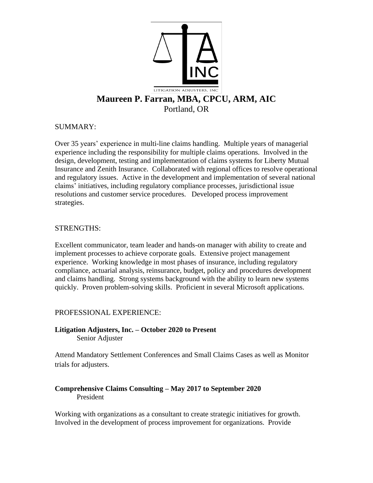

## SUMMARY:

Over 35 years' experience in multi-line claims handling. Multiple years of managerial experience including the responsibility for multiple claims operations. Involved in the design, development, testing and implementation of claims systems for Liberty Mutual Insurance and Zenith Insurance. Collaborated with regional offices to resolve operational and regulatory issues. Active in the development and implementation of several national claims' initiatives, including regulatory compliance processes, jurisdictional issue resolutions and customer service procedures. Developed process improvement strategies.

## STRENGTHS:

Excellent communicator, team leader and hands-on manager with ability to create and implement processes to achieve corporate goals. Extensive project management experience. Working knowledge in most phases of insurance, including regulatory compliance, actuarial analysis, reinsurance, budget, policy and procedures development and claims handling. Strong systems background with the ability to learn new systems quickly. Proven problem-solving skills. Proficient in several Microsoft applications.

# PROFESSIONAL EXPERIENCE:

**Litigation Adjusters, Inc. – October 2020 to Present** Senior Adjuster

Attend Mandatory Settlement Conferences and Small Claims Cases as well as Monitor trials for adjusters.

## **Comprehensive Claims Consulting – May 2017 to September 2020** President

Working with organizations as a consultant to create strategic initiatives for growth. Involved in the development of process improvement for organizations. Provide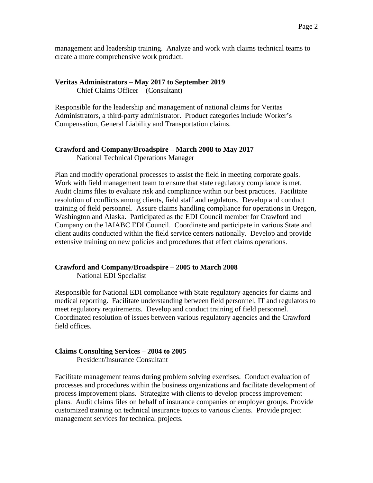management and leadership training. Analyze and work with claims technical teams to create a more comprehensive work product.

#### **Veritas Administrators – May 2017 to September 2019**

Chief Claims Officer – (Consultant)

Responsible for the leadership and management of national claims for Veritas Administrators, a third-party administrator. Product categories include Worker's Compensation, General Liability and Transportation claims.

#### **Crawford and Company/Broadspire – March 2008 to May 2017**

National Technical Operations Manager

Plan and modify operational processes to assist the field in meeting corporate goals. Work with field management team to ensure that state regulatory compliance is met. Audit claims files to evaluate risk and compliance within our best practices. Facilitate resolution of conflicts among clients, field staff and regulators. Develop and conduct training of field personnel. Assure claims handling compliance for operations in Oregon, Washington and Alaska. Participated as the EDI Council member for Crawford and Company on the IAIABC EDI Council. Coordinate and participate in various State and client audits conducted within the field service centers nationally. Develop and provide extensive training on new policies and procedures that effect claims operations.

## **Crawford and Company/Broadspire – 2005 to March 2008**

National EDI Specialist

Responsible for National EDI compliance with State regulatory agencies for claims and medical reporting. Facilitate understanding between field personnel, IT and regulators to meet regulatory requirements. Develop and conduct training of field personnel. Coordinated resolution of issues between various regulatory agencies and the Crawford field offices.

#### **Claims Consulting Services** – **2004 to 2005**

President/Insurance Consultant

Facilitate management teams during problem solving exercises. Conduct evaluation of processes and procedures within the business organizations and facilitate development of process improvement plans. Strategize with clients to develop process improvement plans. Audit claims files on behalf of insurance companies or employer groups. Provide customized training on technical insurance topics to various clients. Provide project management services for technical projects.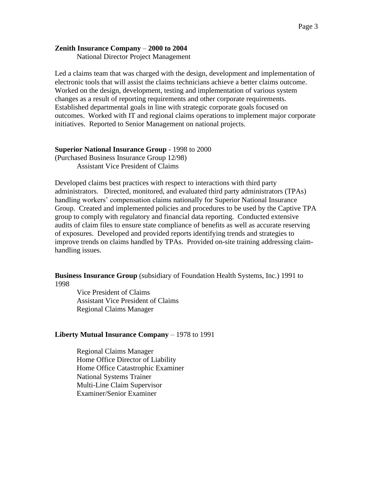### **Zenith Insurance Company** – **2000 to 2004**

National Director Project Management

Led a claims team that was charged with the design, development and implementation of electronic tools that will assist the claims technicians achieve a better claims outcome. Worked on the design, development, testing and implementation of various system changes as a result of reporting requirements and other corporate requirements. Established departmental goals in line with strategic corporate goals focused on outcomes. Worked with IT and regional claims operations to implement major corporate initiatives. Reported to Senior Management on national projects.

### **Superior National Insurance Group** - 1998 to 2000

(Purchased Business Insurance Group 12/98) Assistant Vice President of Claims

Developed claims best practices with respect to interactions with third party administrators. Directed, monitored, and evaluated third party administrators (TPAs) handling workers' compensation claims nationally for Superior National Insurance Group. Created and implemented policies and procedures to be used by the Captive TPA group to comply with regulatory and financial data reporting. Conducted extensive audits of claim files to ensure state compliance of benefits as well as accurate reserving of exposures. Developed and provided reports identifying trends and strategies to improve trends on claims handled by TPAs. Provided on-site training addressing claimhandling issues.

**Business Insurance Group** (subsidiary of Foundation Health Systems, Inc.) 1991 to 1998

Vice President of Claims Assistant Vice President of Claims Regional Claims Manager

## **Liberty Mutual Insurance Company** – 1978 to 1991

Regional Claims Manager Home Office Director of Liability Home Office Catastrophic Examiner National Systems Trainer Multi-Line Claim Supervisor Examiner/Senior Examiner